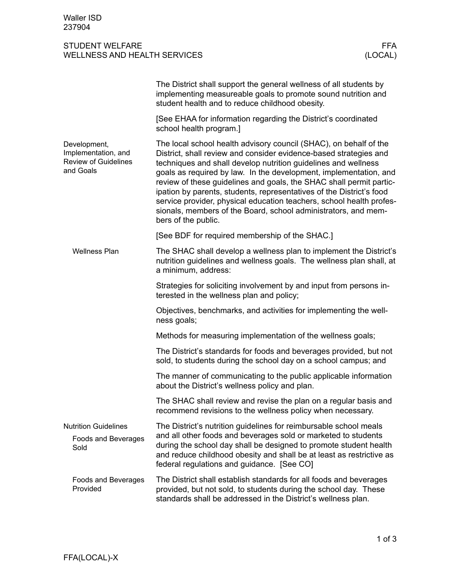## STUDENT WELFARE FFA<br>
WELLNESS AND HEALTH SERVICES (LOCAL) WELLNESS AND HEALTH SERVICES

| <u>WELLINESS AND HEALTH SENVICES</u>                                            | ILUUAL)                                                                                                                                                                                                                                                                                                                                                                                                                                                                                                                                                                                       |  |
|---------------------------------------------------------------------------------|-----------------------------------------------------------------------------------------------------------------------------------------------------------------------------------------------------------------------------------------------------------------------------------------------------------------------------------------------------------------------------------------------------------------------------------------------------------------------------------------------------------------------------------------------------------------------------------------------|--|
|                                                                                 | The District shall support the general wellness of all students by<br>implementing measureable goals to promote sound nutrition and<br>student health and to reduce childhood obesity.                                                                                                                                                                                                                                                                                                                                                                                                        |  |
|                                                                                 | [See EHAA for information regarding the District's coordinated<br>school health program.]                                                                                                                                                                                                                                                                                                                                                                                                                                                                                                     |  |
| Development,<br>Implementation, and<br><b>Review of Guidelines</b><br>and Goals | The local school health advisory council (SHAC), on behalf of the<br>District, shall review and consider evidence-based strategies and<br>techniques and shall develop nutrition guidelines and wellness<br>goals as required by law. In the development, implementation, and<br>review of these guidelines and goals, the SHAC shall permit partic-<br>ipation by parents, students, representatives of the District's food<br>service provider, physical education teachers, school health profes-<br>sionals, members of the Board, school administrators, and mem-<br>bers of the public. |  |
|                                                                                 | [See BDF for required membership of the SHAC.]                                                                                                                                                                                                                                                                                                                                                                                                                                                                                                                                                |  |
| <b>Wellness Plan</b>                                                            | The SHAC shall develop a wellness plan to implement the District's<br>nutrition guidelines and wellness goals. The wellness plan shall, at<br>a minimum, address:                                                                                                                                                                                                                                                                                                                                                                                                                             |  |
|                                                                                 | Strategies for soliciting involvement by and input from persons in-<br>terested in the wellness plan and policy;                                                                                                                                                                                                                                                                                                                                                                                                                                                                              |  |
|                                                                                 | Objectives, benchmarks, and activities for implementing the well-<br>ness goals;                                                                                                                                                                                                                                                                                                                                                                                                                                                                                                              |  |
|                                                                                 | Methods for measuring implementation of the wellness goals;                                                                                                                                                                                                                                                                                                                                                                                                                                                                                                                                   |  |
|                                                                                 | The District's standards for foods and beverages provided, but not<br>sold, to students during the school day on a school campus; and                                                                                                                                                                                                                                                                                                                                                                                                                                                         |  |
|                                                                                 | The manner of communicating to the public applicable information<br>about the District's wellness policy and plan.                                                                                                                                                                                                                                                                                                                                                                                                                                                                            |  |
|                                                                                 | The SHAC shall review and revise the plan on a regular basis and<br>recommend revisions to the wellness policy when necessary.                                                                                                                                                                                                                                                                                                                                                                                                                                                                |  |
| <b>Nutrition Guidelines</b><br>Foods and Beverages<br>Sold                      | The District's nutrition guidelines for reimbursable school meals<br>and all other foods and beverages sold or marketed to students<br>during the school day shall be designed to promote student health<br>and reduce childhood obesity and shall be at least as restrictive as<br>federal regulations and guidance. [See CO]                                                                                                                                                                                                                                                                |  |

The District shall establish standards for all foods and beverages provided, but not sold, to students during the school day. These standards shall be addressed in the District's wellness plan. Foods and Beverages Provided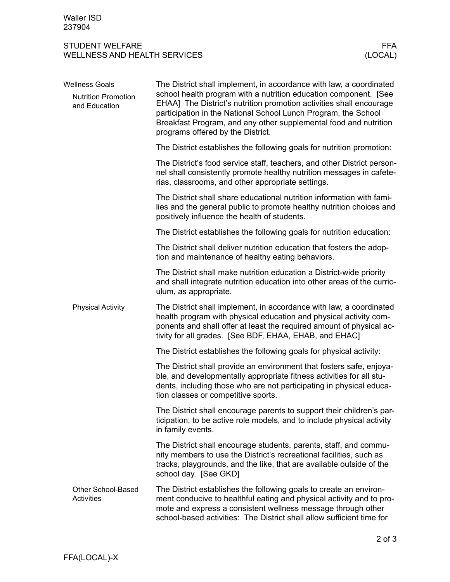## STUDENT WELFARE FFA<br>WELLNESS AND HEALTH SERVICES WELLNESS (LOCAL) WELLNESS AND HEALTH SERVICES

| <b>Wellness Goals</b>                          | The District shall implement, in accordance with law, a coordinated                                                                                                                                                                                                                                                |
|------------------------------------------------|--------------------------------------------------------------------------------------------------------------------------------------------------------------------------------------------------------------------------------------------------------------------------------------------------------------------|
| <b>Nutrition Promotion</b><br>and Education    | school health program with a nutrition education component. [See<br>EHAA] The District's nutrition promotion activities shall encourage<br>participation in the National School Lunch Program, the School<br>Breakfast Program, and any other supplemental food and nutrition<br>programs offered by the District. |
|                                                | The District establishes the following goals for nutrition promotion:                                                                                                                                                                                                                                              |
|                                                | The District's food service staff, teachers, and other District person-<br>nel shall consistently promote healthy nutrition messages in cafete-<br>rias, classrooms, and other appropriate settings.                                                                                                               |
|                                                | The District shall share educational nutrition information with fami-<br>lies and the general public to promote healthy nutrition choices and<br>positively influence the health of students.                                                                                                                      |
|                                                | The District establishes the following goals for nutrition education:                                                                                                                                                                                                                                              |
|                                                | The District shall deliver nutrition education that fosters the adop-<br>tion and maintenance of healthy eating behaviors.                                                                                                                                                                                         |
|                                                | The District shall make nutrition education a District-wide priority<br>and shall integrate nutrition education into other areas of the curric-<br>ulum, as appropriate.                                                                                                                                           |
| <b>Physical Activity</b>                       | The District shall implement, in accordance with law, a coordinated<br>health program with physical education and physical activity com-<br>ponents and shall offer at least the required amount of physical ac-<br>tivity for all grades. [See BDF, EHAA, EHAB, and EHAC]                                         |
|                                                | The District establishes the following goals for physical activity:                                                                                                                                                                                                                                                |
|                                                | The District shall provide an environment that fosters safe, enjoya-<br>ble, and developmentally appropriate fitness activities for all stu-<br>dents, including those who are not participating in physical educa-<br>tion classes or competitive sports.                                                         |
|                                                | The District shall encourage parents to support their children's par-<br>ticipation, to be active role models, and to include physical activity<br>in family events.                                                                                                                                               |
|                                                | The District shall encourage students, parents, staff, and commu-<br>nity members to use the District's recreational facilities, such as<br>tracks, playgrounds, and the like, that are available outside of the<br>school day. [See GKD]                                                                          |
| <b>Other School-Based</b><br><b>Activities</b> | The District establishes the following goals to create an environ-<br>ment conducive to healthful eating and physical activity and to pro-<br>mote and express a consistent wellness message through other<br>school-based activities: The District shall allow sufficient time for                                |